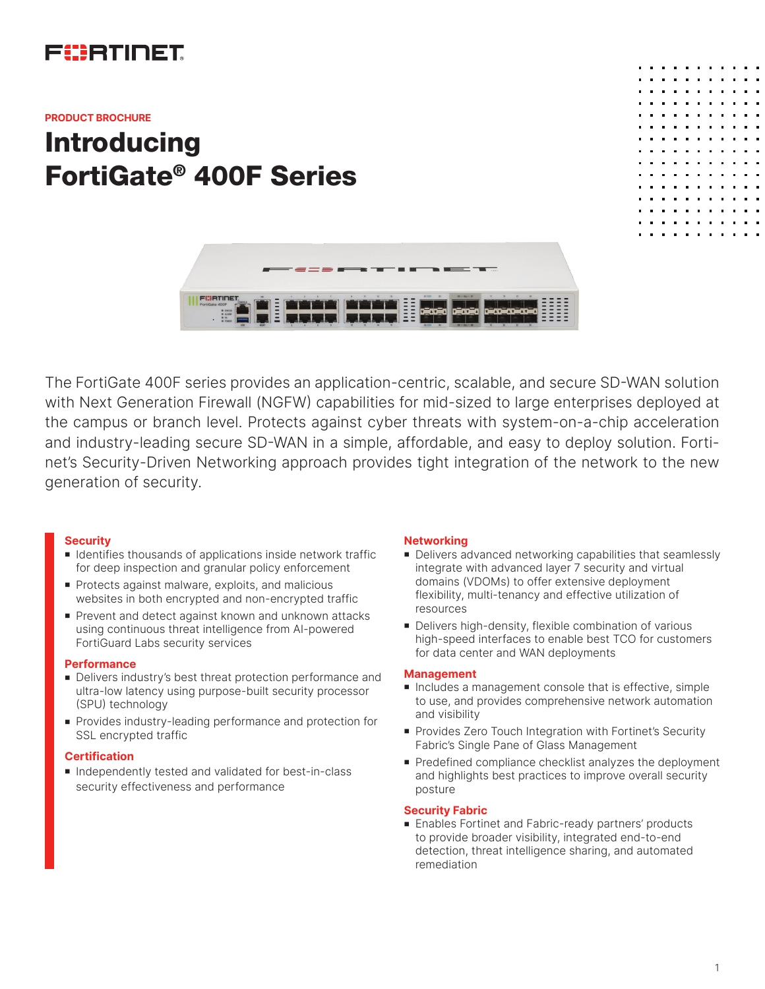## FURTINET

#### **PRODUCT BROCHURE**

# **Introducing** FortiGate® 400F Series





The FortiGate 400F series provides an application-centric, scalable, and secure SD-WAN solution with Next Generation Firewall (NGFW) capabilities for mid-sized to large enterprises deployed at the campus or branch level. Protects against cyber threats with system-on-a-chip acceleration and industry-leading secure SD-WAN in a simple, affordable, and easy to deploy solution. Fortinet's Security-Driven Networking approach provides tight integration of the network to the new generation of security.

#### **Security**

- Identifies thousands of applications inside network traffic for deep inspection and granular policy enforcement
- **Protects against malware, exploits, and malicious** websites in both encrypted and non-encrypted traffic
- Prevent and detect against known and unknown attacks using continuous threat intelligence from AI-powered FortiGuard Labs security services

#### **Performance**

- **Delivers industry's best threat protection performance and** ultra-low latency using purpose-built security processor (SPU) technology
- **Provides industry-leading performance and protection for** SSL encrypted traffic

#### **Certification**

<sup>n</sup> Independently tested and validated for best-in-class security effectiveness and performance

#### **Networking**

- Delivers advanced networking capabilities that seamlessly integrate with advanced layer 7 security and virtual domains (VDOMs) to offer extensive deployment flexibility, multi-tenancy and effective utilization of resources
- Delivers high-density, flexible combination of various high-speed interfaces to enable best TCO for customers for data center and WAN deployments

#### **Management**

- n Includes a management console that is effective, simple to use, and provides comprehensive network automation and visibility
- Provides Zero Touch Integration with Fortinet's Security Fabric's Single Pane of Glass Management
- **Predefined compliance checklist analyzes the deployment** and highlights best practices to improve overall security posture

#### **Security Fabric**

■ Enables Fortinet and Fabric-ready partners' products to provide broader visibility, integrated end-to-end detection, threat intelligence sharing, and automated remediation